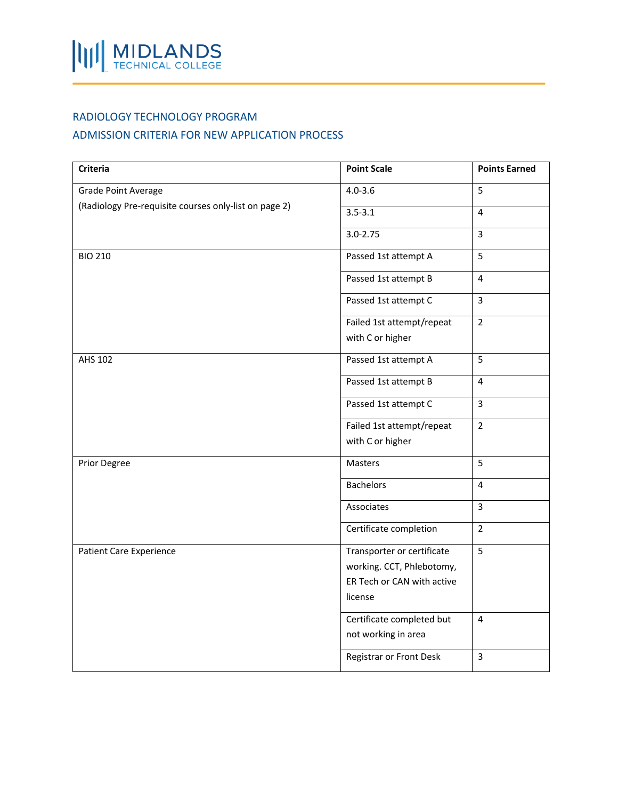## RADIOLOGY TECHNOLOGY PROGRAM

## ADMISSION CRITERIA FOR NEW APPLICATION PROCESS

| <b>Criteria</b>                                                              | <b>Point Scale</b>         | <b>Points Earned</b> |
|------------------------------------------------------------------------------|----------------------------|----------------------|
| Grade Point Average<br>(Radiology Pre-requisite courses only-list on page 2) | $4.0 - 3.6$                | 5                    |
|                                                                              | $3.5 - 3.1$                | $\overline{4}$       |
|                                                                              | $3.0 - 2.75$               | $\overline{3}$       |
| <b>BIO 210</b>                                                               | Passed 1st attempt A       | 5                    |
|                                                                              | Passed 1st attempt B       | $\overline{4}$       |
|                                                                              | Passed 1st attempt C       | $\overline{3}$       |
|                                                                              | Failed 1st attempt/repeat  | $\overline{2}$       |
|                                                                              | with C or higher           |                      |
| AHS 102                                                                      | Passed 1st attempt A       | 5                    |
|                                                                              | Passed 1st attempt B       | $\overline{4}$       |
|                                                                              | Passed 1st attempt C       | $\overline{3}$       |
|                                                                              | Failed 1st attempt/repeat  | $\overline{2}$       |
|                                                                              | with C or higher           |                      |
| Prior Degree                                                                 | Masters                    | 5                    |
|                                                                              | <b>Bachelors</b>           | $\overline{4}$       |
|                                                                              | Associates                 | $\overline{3}$       |
|                                                                              | Certificate completion     | $\overline{2}$       |
| <b>Patient Care Experience</b>                                               | Transporter or certificate | 5                    |
|                                                                              | working. CCT, Phlebotomy,  |                      |
|                                                                              | ER Tech or CAN with active |                      |
|                                                                              | license                    |                      |
|                                                                              | Certificate completed but  | $\overline{4}$       |
|                                                                              | not working in area        |                      |
|                                                                              | Registrar or Front Desk    | $\overline{3}$       |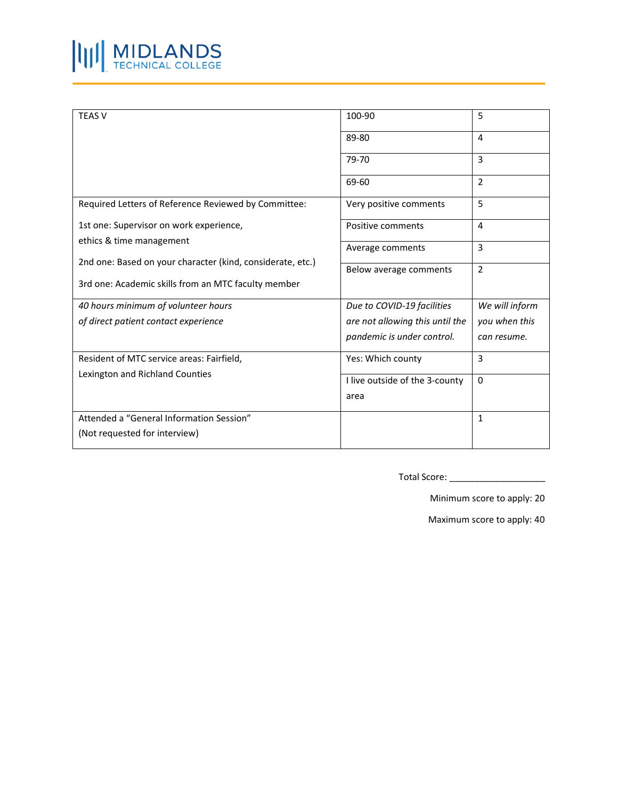

| <b>TEAS V</b>                                                                | 100-90                          | 5              |
|------------------------------------------------------------------------------|---------------------------------|----------------|
|                                                                              | 89-80                           | 4              |
|                                                                              | 79-70                           | 3              |
|                                                                              | 69-60                           | $\overline{2}$ |
| Required Letters of Reference Reviewed by Committee:                         | Very positive comments          | 5              |
| 1st one: Supervisor on work experience,                                      | Positive comments               | 4              |
| ethics & time management                                                     | Average comments                | 3              |
| 2nd one: Based on your character (kind, considerate, etc.)                   | Below average comments          | $\overline{2}$ |
| 3rd one: Academic skills from an MTC faculty member                          |                                 |                |
| 40 hours minimum of volunteer hours                                          | Due to COVID-19 facilities      | We will inform |
| of direct patient contact experience                                         | are not allowing this until the | you when this  |
|                                                                              | pandemic is under control.      | can resume.    |
| Resident of MTC service areas: Fairfield,<br>Lexington and Richland Counties | Yes: Which county               | 3              |
|                                                                              | I live outside of the 3-county  | $\Omega$       |
|                                                                              | area                            |                |
| Attended a "General Information Session"                                     |                                 | 1              |
| (Not requested for interview)                                                |                                 |                |

Total Score: \_\_\_\_\_\_\_\_\_\_\_\_\_\_\_\_\_\_\_

Minimum score to apply: 20

Maximum score to apply: 40